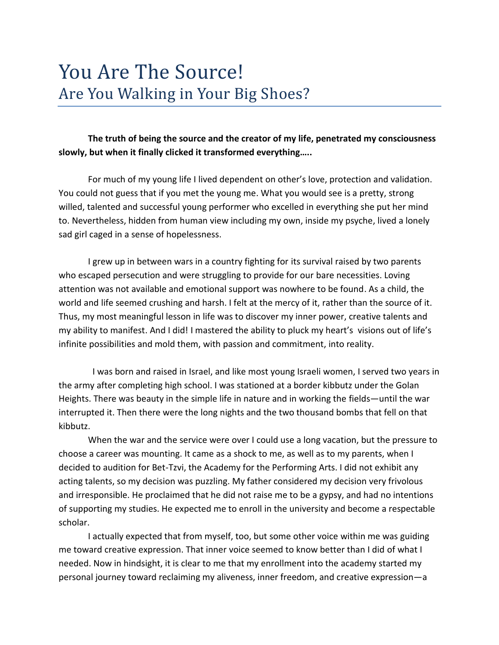# **The truth of being the source and the creator of my life, penetrated my consciousness slowly, but when it finally clicked it transformed everything…..**

For much of my young life I lived dependent on other's love, protection and validation. You could not guess that if you met the young me. What you would see is a pretty, strong willed, talented and successful young performer who excelled in everything she put her mind to. Nevertheless, hidden from human view including my own, inside my psyche, lived a lonely sad girl caged in a sense of hopelessness.

I grew up in between wars in a country fighting for its survival raised by two parents who escaped persecution and were struggling to provide for our bare necessities. Loving attention was not available and emotional support was nowhere to be found. As a child, the world and life seemed crushing and harsh. I felt at the mercy of it, rather than the source of it. Thus, my most meaningful lesson in life was to discover my inner power, creative talents and my ability to manifest. And I did! I mastered the ability to pluck my heart's visions out of life's infinite possibilities and mold them, with passion and commitment, into reality.

 I was born and raised in Israel, and like most young Israeli women, I served two years in the army after completing high school. I was stationed at a border kibbutz under the Golan Heights. There was beauty in the simple life in nature and in working the fields—until the war interrupted it. Then there were the long nights and the two thousand bombs that fell on that kibbutz.

When the war and the service were over I could use a long vacation, but the pressure to choose a career was mounting. It came as a shock to me, as well as to my parents, when I decided to audition for Bet-Tzvi, the Academy for the Performing Arts. I did not exhibit any acting talents, so my decision was puzzling. My father considered my decision very frivolous and irresponsible. He proclaimed that he did not raise me to be a gypsy, and had no intentions of supporting my studies. He expected me to enroll in the university and become a respectable scholar.

I actually expected that from myself, too, but some other voice within me was guiding me toward creative expression. That inner voice seemed to know better than I did of what I needed. Now in hindsight, it is clear to me that my enrollment into the academy started my personal journey toward reclaiming my aliveness, inner freedom, and creative expression—a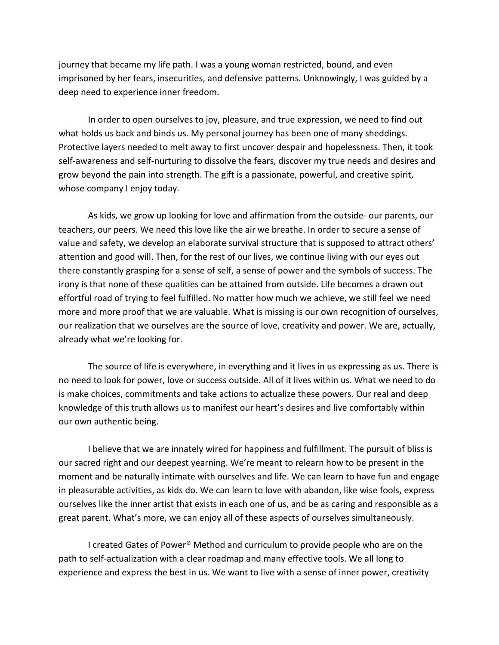journey that became my life path. I was a young woman restricted, bound, and even imprisoned by her fears, insecurities, and defensive patterns. Unknowingly, I was guided by a deep need to experience inner freedom.

In order to open ourselves to joy, pleasure, and true expression, we need to find out what holds us back and binds us. My personal journey has been one of many sheddings. Protective layers needed to melt away to first uncover despair and hopelessness. Then, it took self-awareness and self-nurturing to dissolve the fears, discover my true needs and desires and grow beyond the pain into strength. The gift is a passionate, powerful, and creative spirit, whose company I enjoy today.

As kids, we grow up looking for love and affirmation from the outside- our parents, our teachers, our peers. We need this love like the air we breathe. In order to secure a sense of value and safety, we develop an elaborate survival structure that is supposed to attract others' attention and good will. Then, for the rest of our lives, we continue living with our eyes out there constantly grasping for a sense of self, a sense of power and the symbols of success. The irony is that none of these qualities can be attained from outside. Life becomes a drawn out effortful road of trying to feel fulfilled. No matter how much we achieve, we still feel we need more and more proof that we are valuable. What is missing is our own recognition of ourselves, our realization that we ourselves are the source of love, creativity and power. We are, actually, already what we're looking for.

The source of life is everywhere, in everything and it lives in us expressing as us. There is no need to look for power, love or success outside. All of it lives within us. What we need to do is make choices, commitments and take actions to actualize these powers. Our real and deep knowledge of this truth allows us to manifest our heart's desires and live comfortably within our own authentic being.

I believe that we are innately wired for happiness and fulfillment. The pursuit of bliss is our sacred right and our deepest yearning. We're meant to relearn how to be present in the moment and be naturally intimate with ourselves and life. We can learn to have fun and engage in pleasurable activities, as kids do. We can learn to love with abandon, like wise fools, express ourselves like the inner artist that exists in each one of us, and be as caring and responsible as a great parent. What's more, we can enjoy all of these aspects of ourselves simultaneously.

I created Gates of Power® Method and curriculum to provide people who are on the path to self-actualization with a clear roadmap and many effective tools. We all long to experience and express the best in us. We want to live with a sense of inner power, creativity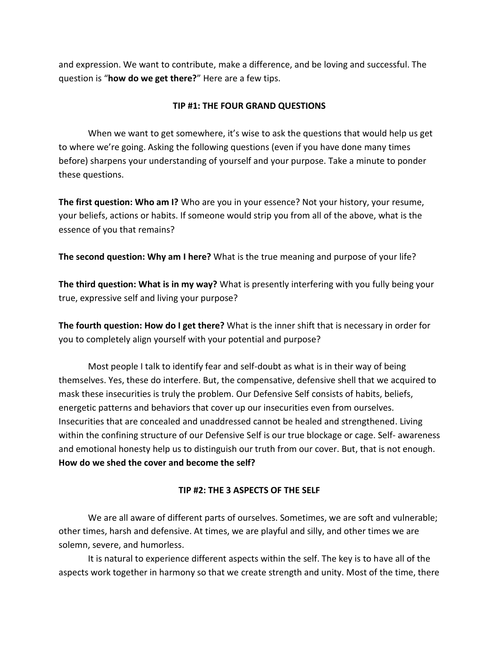and expression. We want to contribute, make a difference, and be loving and successful. The question is "**how do we get there?**" Here are a few tips.

### **TIP #1: THE FOUR GRAND QUESTIONS**

When we want to get somewhere, it's wise to ask the questions that would help us get to where we're going. Asking the following questions (even if you have done many times before) sharpens your understanding of yourself and your purpose. Take a minute to ponder these questions.

**The first question: Who am I?** Who are you in your essence? Not your history, your resume, your beliefs, actions or habits. If someone would strip you from all of the above, what is the essence of you that remains?

**The second question: Why am I here?** What is the true meaning and purpose of your life?

**The third question: What is in my way?** What is presently interfering with you fully being your true, expressive self and living your purpose?

**The fourth question: How do I get there?** What is the inner shift that is necessary in order for you to completely align yourself with your potential and purpose?

Most people I talk to identify fear and self-doubt as what is in their way of being themselves. Yes, these do interfere. But, the compensative, defensive shell that we acquired to mask these insecurities is truly the problem. Our Defensive Self consists of habits, beliefs, energetic patterns and behaviors that cover up our insecurities even from ourselves. Insecurities that are concealed and unaddressed cannot be healed and strengthened. Living within the confining structure of our Defensive Self is our true blockage or cage. Self- awareness and emotional honesty help us to distinguish our truth from our cover. But, that is not enough. **How do we shed the cover and become the self?**

## **TIP #2: THE 3 ASPECTS OF THE SELF**

We are all aware of different parts of ourselves. Sometimes, we are soft and vulnerable; other times, harsh and defensive. At times, we are playful and silly, and other times we are solemn, severe, and humorless.

It is natural to experience different aspects within the self. The key is to have all of the aspects work together in harmony so that we create strength and unity. Most of the time, there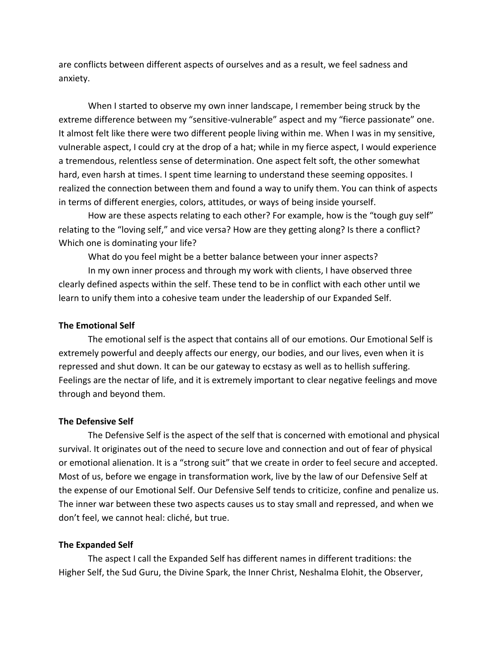are conflicts between different aspects of ourselves and as a result, we feel sadness and anxiety.

When I started to observe my own inner landscape, I remember being struck by the extreme difference between my "sensitive-vulnerable" aspect and my "fierce passionate" one. It almost felt like there were two different people living within me. When I was in my sensitive, vulnerable aspect, I could cry at the drop of a hat; while in my fierce aspect, I would experience a tremendous, relentless sense of determination. One aspect felt soft, the other somewhat hard, even harsh at times. I spent time learning to understand these seeming opposites. I realized the connection between them and found a way to unify them. You can think of aspects in terms of different energies, colors, attitudes, or ways of being inside yourself.

How are these aspects relating to each other? For example, how is the "tough guy self" relating to the "loving self," and vice versa? How are they getting along? Is there a conflict? Which one is dominating your life?

What do you feel might be a better balance between your inner aspects?

In my own inner process and through my work with clients, I have observed three clearly defined aspects within the self. These tend to be in conflict with each other until we learn to unify them into a cohesive team under the leadership of our Expanded Self.

#### **The Emotional Self**

The emotional self is the aspect that contains all of our emotions. Our Emotional Self is extremely powerful and deeply affects our energy, our bodies, and our lives, even when it is repressed and shut down. It can be our gateway to ecstasy as well as to hellish suffering. Feelings are the nectar of life, and it is extremely important to clear negative feelings and move through and beyond them.

#### **The Defensive Self**

The Defensive Self is the aspect of the self that is concerned with emotional and physical survival. It originates out of the need to secure love and connection and out of fear of physical or emotional alienation. It is a "strong suit" that we create in order to feel secure and accepted. Most of us, before we engage in transformation work, live by the law of our Defensive Self at the expense of our Emotional Self. Our Defensive Self tends to criticize, confine and penalize us. The inner war between these two aspects causes us to stay small and repressed, and when we don't feel, we cannot heal: cliché, but true.

#### **The Expanded Self**

The aspect I call the Expanded Self has different names in different traditions: the Higher Self, the Sud Guru, the Divine Spark, the Inner Christ, Neshalma Elohit, the Observer,